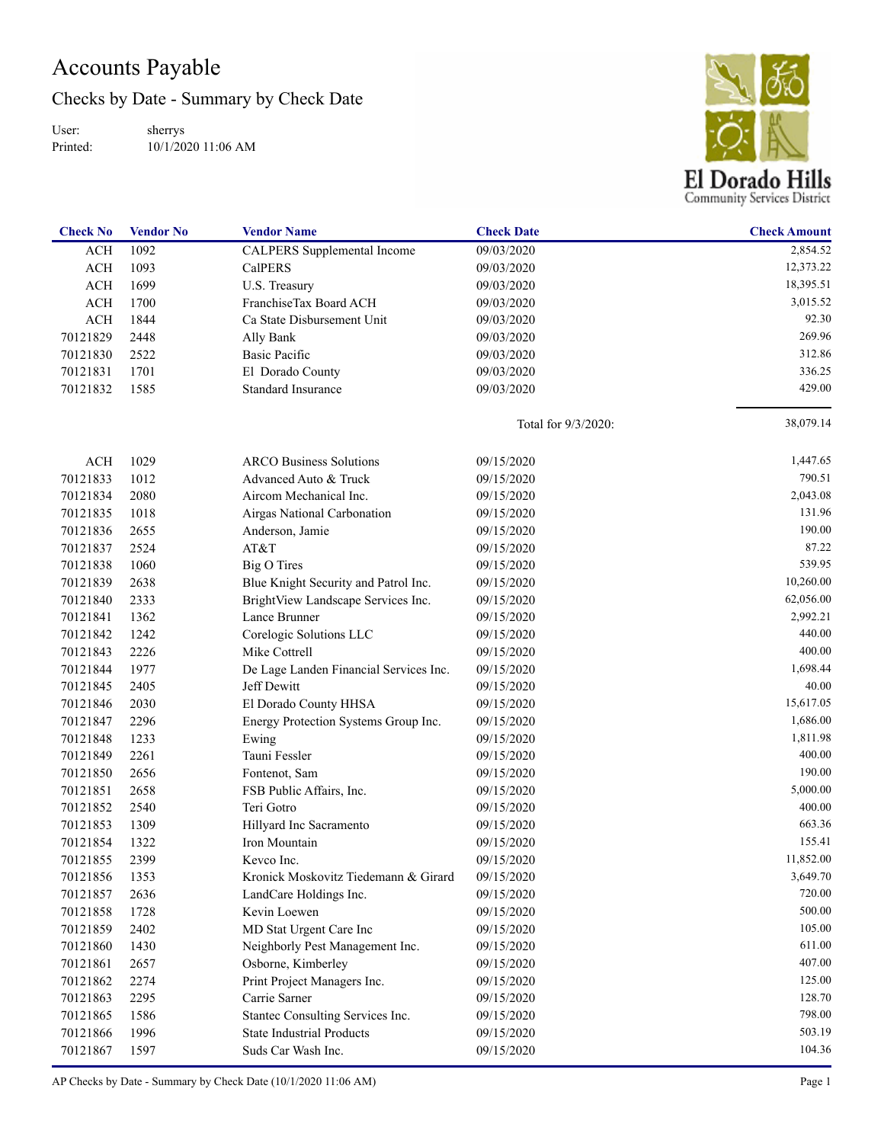## Accounts Payable

Checks by Date - Summary by Check Date

User: Printed: sherrys 10/1/2020 11:06 AM



| <b>Check No</b> | <b>Vendor No</b> | <b>Vendor Name</b>                     | <b>Check Date</b>   | <b>Check Amount</b> |
|-----------------|------------------|----------------------------------------|---------------------|---------------------|
| <b>ACH</b>      | 1092             | CALPERS Supplemental Income            | 09/03/2020          | 2,854.52            |
| <b>ACH</b>      | 1093             | CalPERS                                | 09/03/2020          | 12,373.22           |
| <b>ACH</b>      | 1699             | U.S. Treasury                          | 09/03/2020          | 18,395.51           |
| <b>ACH</b>      | 1700             | FranchiseTax Board ACH                 | 09/03/2020          | 3,015.52            |
| <b>ACH</b>      | 1844             | Ca State Disbursement Unit             | 09/03/2020          | 92.30               |
| 70121829        | 2448             | Ally Bank                              | 09/03/2020          | 269.96              |
| 70121830        | 2522             | Basic Pacific                          | 09/03/2020          | 312.86              |
| 70121831        | 1701             | El Dorado County                       | 09/03/2020          | 336.25              |
| 70121832        | 1585             | <b>Standard Insurance</b>              | 09/03/2020          | 429.00              |
|                 |                  |                                        | Total for 9/3/2020: | 38,079.14           |
| <b>ACH</b>      | 1029             | <b>ARCO Business Solutions</b>         | 09/15/2020          | 1,447.65            |
| 70121833        | 1012             | Advanced Auto & Truck                  | 09/15/2020          | 790.51              |
| 70121834        | 2080             | Aircom Mechanical Inc.                 | 09/15/2020          | 2,043.08            |
| 70121835        | 1018             | Airgas National Carbonation            | 09/15/2020          | 131.96              |
| 70121836        | 2655             | Anderson, Jamie                        | 09/15/2020          | 190.00              |
| 70121837        | 2524             | AT&T                                   | 09/15/2020          | 87.22               |
| 70121838        | 1060             | <b>Big O Tires</b>                     | 09/15/2020          | 539.95              |
| 70121839        | 2638             | Blue Knight Security and Patrol Inc.   | 09/15/2020          | 10,260.00           |
| 70121840        | 2333             | BrightView Landscape Services Inc.     | 09/15/2020          | 62,056.00           |
| 70121841        | 1362             | Lance Brunner                          | 09/15/2020          | 2,992.21            |
| 70121842        | 1242             | Corelogic Solutions LLC                | 09/15/2020          | 440.00              |
| 70121843        | 2226             | Mike Cottrell                          | 09/15/2020          | 400.00              |
| 70121844        | 1977             | De Lage Landen Financial Services Inc. | 09/15/2020          | 1,698.44            |
| 70121845        | 2405             | Jeff Dewitt                            | 09/15/2020          | 40.00               |
| 70121846        | 2030             | El Dorado County HHSA                  | 09/15/2020          | 15,617.05           |
| 70121847        | 2296             | Energy Protection Systems Group Inc.   | 09/15/2020          | 1,686.00            |
| 70121848        | 1233             | Ewing                                  | 09/15/2020          | 1,811.98            |
| 70121849        | 2261             | Tauni Fessler                          | 09/15/2020          | 400.00              |
| 70121850        | 2656             | Fontenot, Sam                          | 09/15/2020          | 190.00              |
| 70121851        | 2658             | FSB Public Affairs, Inc.               | 09/15/2020          | 5,000.00            |
| 70121852        | 2540             | Teri Gotro                             | 09/15/2020          | 400.00              |
| 70121853        | 1309             | Hillyard Inc Sacramento                | 09/15/2020          | 663.36              |
| 70121854        | 1322             | Iron Mountain                          | 09/15/2020          | 155.41              |
| 70121855        | 2399             | Kevco Inc.                             | 09/15/2020          | 11,852.00           |
| 70121856        | 1353             | Kronick Moskovitz Tiedemann & Girard   | 09/15/2020          | 3,649.70            |
| 70121857        | 2636             | LandCare Holdings Inc.                 | 09/15/2020          | 720.00              |
| 70121858        | 1728             | Kevin Loewen                           | 09/15/2020          | 500.00              |
| 70121859        | 2402             | MD Stat Urgent Care Inc                | 09/15/2020          | 105.00              |
| 70121860        | 1430             | Neighborly Pest Management Inc.        | 09/15/2020          | 611.00              |
| 70121861        | 2657             | Osborne, Kimberley                     | 09/15/2020          | 407.00              |
| 70121862        | 2274             | Print Project Managers Inc.            | 09/15/2020          | 125.00              |
| 70121863        | 2295             | Carrie Sarner                          | 09/15/2020          | 128.70              |
| 70121865        | 1586             | Stantec Consulting Services Inc.       | 09/15/2020          | 798.00              |
| 70121866        | 1996             | <b>State Industrial Products</b>       | 09/15/2020          | 503.19              |
| 70121867        | 1597             | Suds Car Wash Inc.                     | 09/15/2020          | 104.36              |
|                 |                  |                                        |                     |                     |

AP Checks by Date - Summary by Check Date (10/1/2020 11:06 AM) Page 1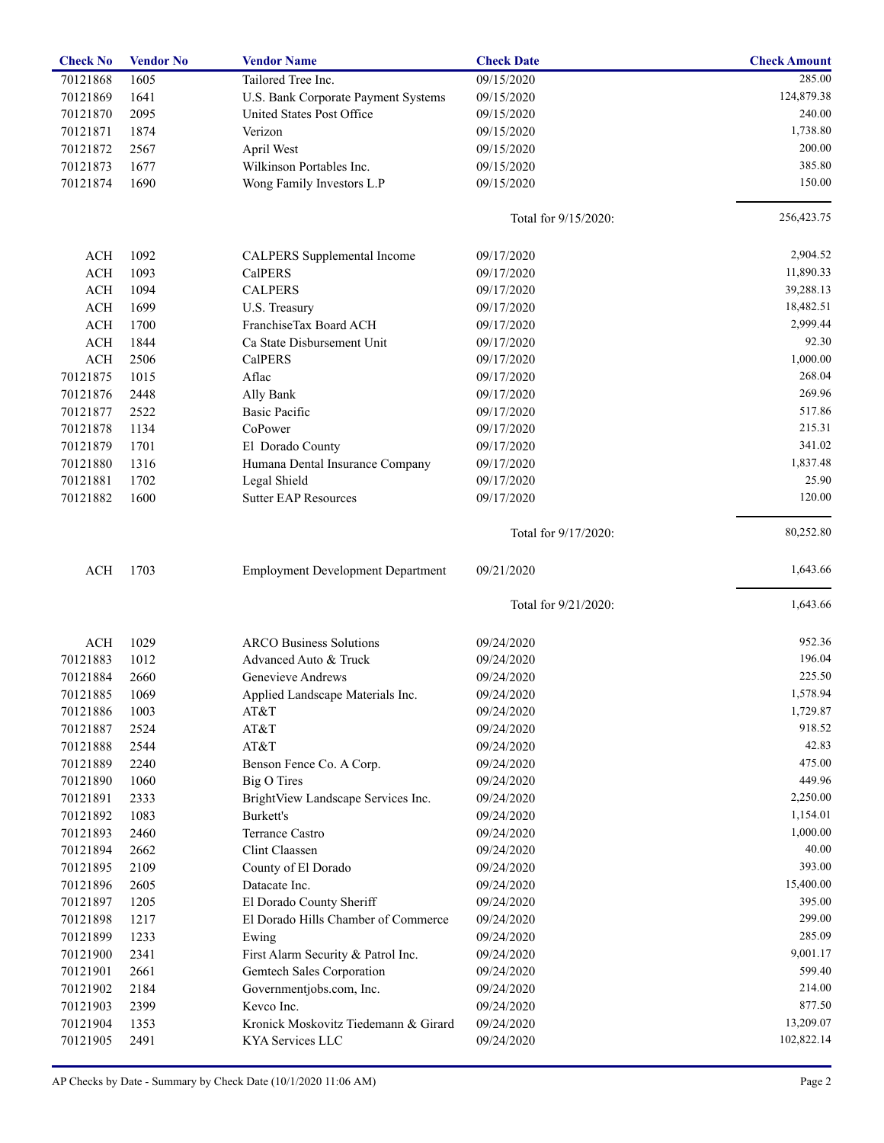| <b>Check No</b> | <b>Vendor No</b> | <b>Vendor Name</b>                          | <b>Check Date</b>    | <b>Check Amount</b>    |
|-----------------|------------------|---------------------------------------------|----------------------|------------------------|
| 70121868        | 1605             | Tailored Tree Inc.                          | 09/15/2020           | 285.00                 |
| 70121869        | 1641             | U.S. Bank Corporate Payment Systems         | 09/15/2020           | 124,879.38             |
| 70121870        | 2095             | United States Post Office                   | 09/15/2020           | 240.00                 |
| 70121871        | 1874             | Verizon                                     | 09/15/2020           | 1,738.80               |
| 70121872        | 2567             | April West                                  | 09/15/2020           | 200.00                 |
| 70121873        | 1677             | Wilkinson Portables Inc.                    | 09/15/2020           | 385.80                 |
| 70121874        | 1690             | Wong Family Investors L.P                   | 09/15/2020           | 150.00                 |
|                 |                  |                                             | Total for 9/15/2020: | 256,423.75             |
|                 |                  |                                             |                      | 2,904.52               |
| ACH             | 1092             | CALPERS Supplemental Income                 | 09/17/2020           |                        |
| <b>ACH</b>      | 1093             | <b>CalPERS</b>                              | 09/17/2020           | 11,890.33              |
| ACH             | 1094             | <b>CALPERS</b>                              | 09/17/2020           | 39,288.13<br>18,482.51 |
| <b>ACH</b>      | 1699             | U.S. Treasury                               | 09/17/2020           |                        |
| ACH             | 1700             | FranchiseTax Board ACH                      | 09/17/2020           | 2,999.44               |
| <b>ACH</b>      | 1844             | Ca State Disbursement Unit                  | 09/17/2020           | 92.30                  |
| <b>ACH</b>      | 2506             | <b>CalPERS</b>                              | 09/17/2020           | 1,000.00               |
| 70121875        | 1015             | Aflac                                       | 09/17/2020           | 268.04                 |
| 70121876        | 2448             | Ally Bank                                   | 09/17/2020           | 269.96                 |
| 70121877        | 2522             | <b>Basic Pacific</b>                        | 09/17/2020           | 517.86                 |
| 70121878        | 1134             | CoPower                                     | 09/17/2020           | 215.31                 |
| 70121879        | 1701             | El Dorado County                            | 09/17/2020           | 341.02                 |
| 70121880        | 1316             | Humana Dental Insurance Company             | 09/17/2020           | 1,837.48               |
| 70121881        | 1702             | Legal Shield                                | 09/17/2020           | 25.90                  |
| 70121882        | 1600             | <b>Sutter EAP Resources</b>                 | 09/17/2020           | 120.00                 |
|                 |                  |                                             | Total for 9/17/2020: | 80,252.80              |
| <b>ACH</b>      | 1703             | <b>Employment Development Department</b>    | 09/21/2020           | 1,643.66               |
|                 |                  |                                             | Total for 9/21/2020: | 1,643.66               |
| <b>ACH</b>      | 1029             | <b>ARCO Business Solutions</b>              | 09/24/2020           | 952.36                 |
| 70121883        | 1012             | Advanced Auto & Truck                       | 09/24/2020           | 196.04                 |
| 70121884        | 2660             | Genevieve Andrews                           | 09/24/2020           | 225.50                 |
| 70121885        | 1069             | Applied Landscape Materials Inc.            | 09/24/2020           | 1,578.94               |
| 70121886        | 1003             | AT&T                                        | 09/24/2020           | 1,729.87               |
| 70121887        | 2524             | AT&T                                        | 09/24/2020           | 918.52                 |
| 70121888        | 2544             | AT&T                                        | 09/24/2020           | 42.83                  |
| 70121889        | 2240             | Benson Fence Co. A Corp.                    | 09/24/2020           | 475.00                 |
| 70121890        | 1060             | Big O Tires                                 | 09/24/2020           | 449.96                 |
| 70121891        | 2333             | BrightView Landscape Services Inc.          | 09/24/2020           | 2,250.00               |
| 70121892        | 1083             | Burkett's                                   | 09/24/2020           | 1,154.01               |
| 70121893        | 2460             | Terrance Castro                             | 09/24/2020           | 1,000.00               |
| 70121894        | 2662             | Clint Claassen                              | 09/24/2020           | 40.00                  |
| 70121895        | 2109             | County of El Dorado                         | 09/24/2020           | 393.00                 |
| 70121896        | 2605             | Datacate Inc.                               | 09/24/2020           | 15,400.00              |
| 70121897        | 1205             | El Dorado County Sheriff                    | 09/24/2020           | 395.00                 |
| 70121898        | 1217             | El Dorado Hills Chamber of Commerce         | 09/24/2020           | 299.00                 |
|                 | 1233             |                                             | 09/24/2020           | 285.09                 |
| 70121899        | 2341             | Ewing<br>First Alarm Security & Patrol Inc. | 09/24/2020           | 9,001.17               |
| 70121900        |                  |                                             |                      | 599.40                 |
| 70121901        | 2661             | Gemtech Sales Corporation                   | 09/24/2020           |                        |
| 70121902        | 2184             | Governmentjobs.com, Inc.                    | 09/24/2020           | 214.00                 |
| 70121903        | 2399             | Kevco Inc.                                  | 09/24/2020           | 877.50                 |
| 70121904        | 1353             | Kronick Moskovitz Tiedemann & Girard        | 09/24/2020           | 13,209.07              |
| 70121905        | 2491             | KYA Services LLC                            | 09/24/2020           | 102,822.14             |